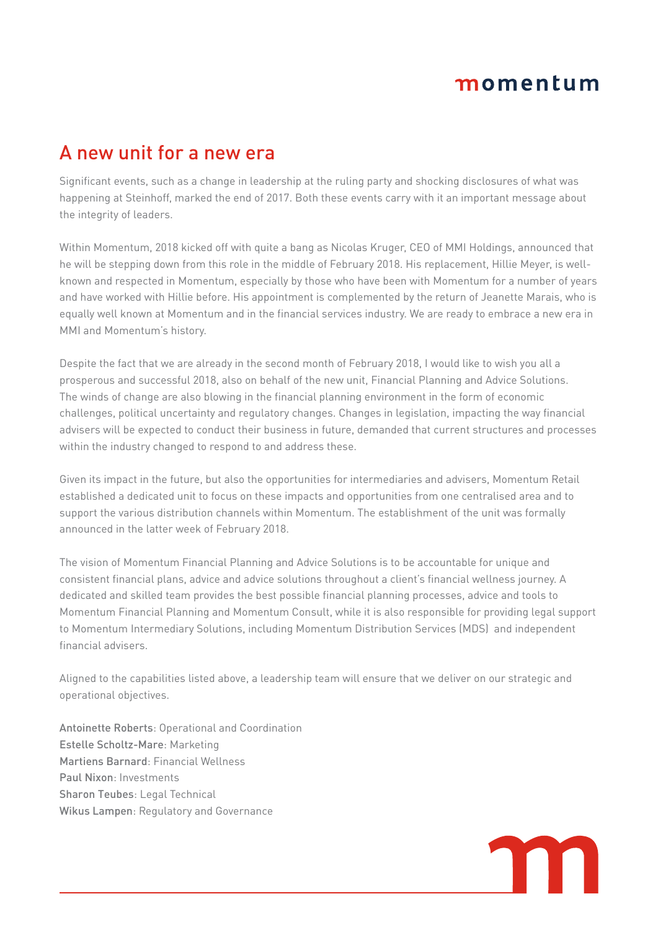# momentum

### A new unit for a new era

Significant events, such as a change in leadership at the ruling party and shocking disclosures of what was happening at Steinhoff, marked the end of 2017. Both these events carry with it an important message about the integrity of leaders.

Within Momentum, 2018 kicked off with quite a bang as Nicolas Kruger, CEO of MMI Holdings, announced that he will be stepping down from this role in the middle of February 2018. His replacement, Hillie Meyer, is wellknown and respected in Momentum, especially by those who have been with Momentum for a number of years and have worked with Hillie before. His appointment is complemented by the return of Jeanette Marais, who is equally well known at Momentum and in the financial services industry. We are ready to embrace a new era in MMI and Momentum's history.

Despite the fact that we are already in the second month of February 2018, I would like to wish you all a prosperous and successful 2018, also on behalf of the new unit, Financial Planning and Advice Solutions. The winds of change are also blowing in the financial planning environment in the form of economic challenges, political uncertainty and regulatory changes. Changes in legislation, impacting the way financial advisers will be expected to conduct their business in future, demanded that current structures and processes within the industry changed to respond to and address these.

Given its impact in the future, but also the opportunities for intermediaries and advisers, Momentum Retail established a dedicated unit to focus on these impacts and opportunities from one centralised area and to support the various distribution channels within Momentum. The establishment of the unit was formally announced in the latter week of February 2018.

The vision of Momentum Financial Planning and Advice Solutions is to be accountable for unique and consistent financial plans, advice and advice solutions throughout a client's financial wellness journey. A dedicated and skilled team provides the best possible financial planning processes, advice and tools to Momentum Financial Planning and Momentum Consult, while it is also responsible for providing legal support to Momentum Intermediary Solutions, including Momentum Distribution Services (MDS) and independent financial advisers.

Aligned to the capabilities listed above, a leadership team will ensure that we deliver on our strategic and operational objectives.

Antoinette Roberts: Operational and Coordination Estelle Scholtz-Mare: Marketing Martiens Barnard: Financial Wellness Paul Nixon: Investments Sharon Teubes: Legal Technical Wikus Lampen: Regulatory and Governance